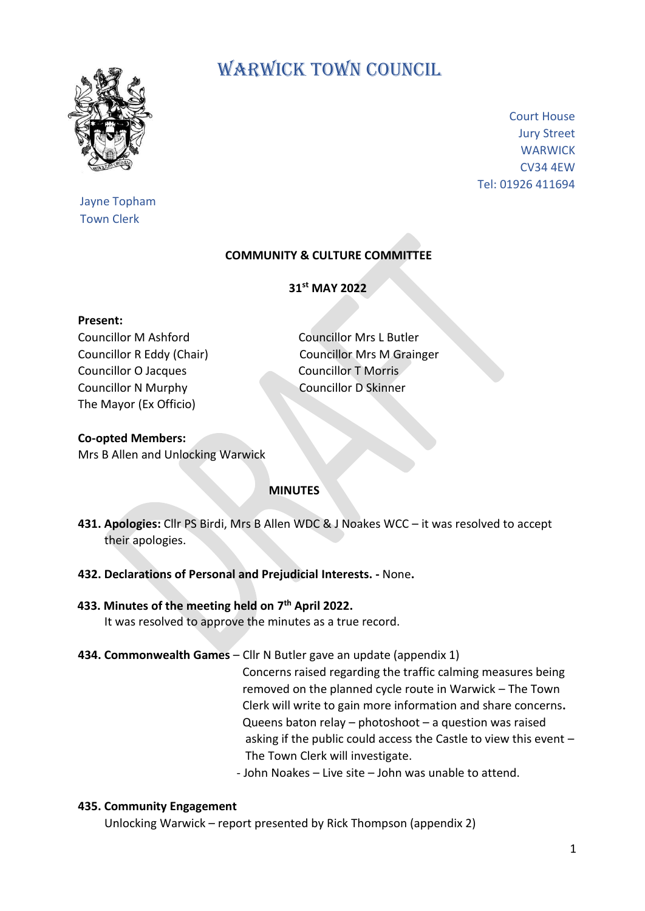

Jayne Topham Town Clerk

# WARWICK TOWN COUNCIL

Court House Jury Street **WARWICK** CV34 4EW Tel: 01926 411694

# **COMMUNITY & CULTURE COMMITTEE**

**31st MAY 2022**

#### **Present:**

Councillor M Ashford Councillor Mrs L Butler Councillor O Jacques Councillor T Morris Councillor N Murphy Councillor D Skinner The Mayor (Ex Officio)

Councillor R Eddy (Chair) Councillor Mrs M Grainger

## **Co-opted Members:** Mrs B Allen and Unlocking Warwick

#### **MINUTES**

- **431. Apologies:** Cllr PS Birdi, Mrs B Allen WDC & J Noakes WCC it was resolved to accept their apologies.
- **432. Declarations of Personal and Prejudicial Interests. -** None**.**

## **433. Minutes of the meeting held on 7 th April 2022.**

It was resolved to approve the minutes as a true record.

# **434. Commonwealth Games** – Cllr N Butler gave an update (appendix 1)

Concerns raised regarding the traffic calming measures being removed on the planned cycle route in Warwick – The Town Clerk will write to gain more information and share concerns**.** Queens baton relay – photoshoot – a question was raised asking if the public could access the Castle to view this event – The Town Clerk will investigate.

- John Noakes – Live site – John was unable to attend.

#### **435. Community Engagement**

Unlocking Warwick – report presented by Rick Thompson (appendix 2)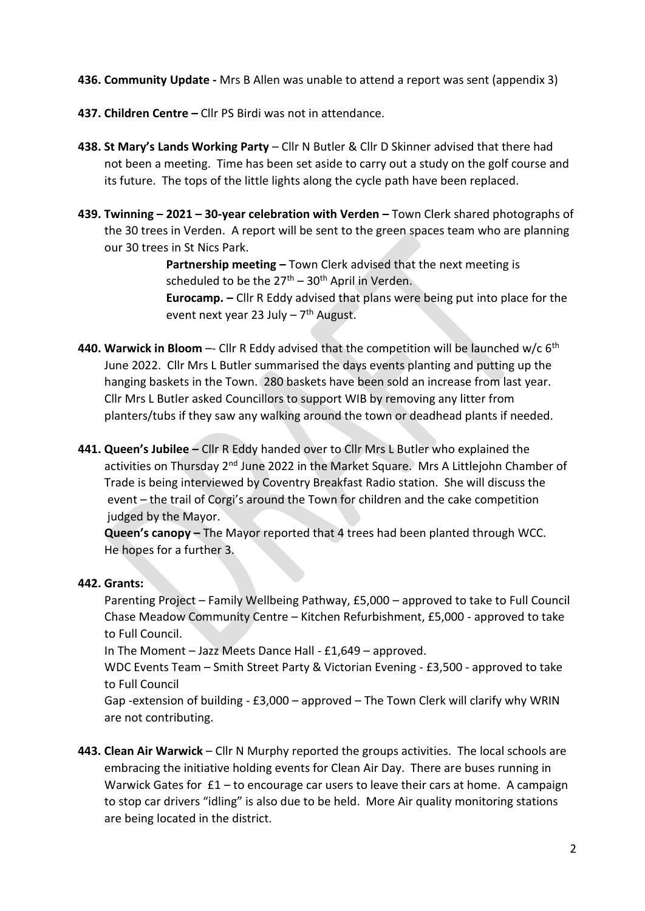- **436. Community Update -** Mrs B Allen was unable to attend a report was sent (appendix 3)
- **437. Children Centre –** Cllr PS Birdi was not in attendance.
- **438. St Mary's Lands Working Party**  Cllr N Butler & Cllr D Skinner advised that there had not been a meeting. Time has been set aside to carry out a study on the golf course and its future. The tops of the little lights along the cycle path have been replaced.
- **439. Twinning – 2021 – 30-year celebration with Verden –** Town Clerk shared photographs of the 30 trees in Verden. A report will be sent to the green spaces team who are planning our 30 trees in St Nics Park.

 **Partnership meeting –** Town Clerk advised that the next meeting is scheduled to be the  $27<sup>th</sup> - 30<sup>th</sup>$  April in Verden.  **Eurocamp. –** Cllr R Eddy advised that plans were being put into place for the event next year 23 July – 7<sup>th</sup> August.

- **440. Warwick in Bloom** –- Cllr R Eddy advised that the competition will be launched w/c 6<sup>th</sup> June 2022. Cllr Mrs L Butler summarised the days events planting and putting up the hanging baskets in the Town. 280 baskets have been sold an increase from last year. Cllr Mrs L Butler asked Councillors to support WIB by removing any litter from planters/tubs if they saw any walking around the town or deadhead plants if needed.
- **441. Queen's Jubilee –** Cllr R Eddy handed over to Cllr Mrs L Butler who explained the activities on Thursday 2nd June 2022 in the Market Square. Mrs A Littlejohn Chamber of Trade is being interviewed by Coventry Breakfast Radio station. She will discuss the event – the trail of Corgi's around the Town for children and the cake competition judged by the Mayor.

 **Queen's canopy –** The Mayor reported that 4 trees had been planted through WCC. He hopes for a further 3.

# **442. Grants:**

Parenting Project – Family Wellbeing Pathway, £5,000 – approved to take to Full Council Chase Meadow Community Centre – Kitchen Refurbishment, £5,000 - approved to take to Full Council.

In The Moment – Jazz Meets Dance Hall - £1,649 – approved.

 WDC Events Team – Smith Street Party & Victorian Evening - £3,500 - approved to take to Full Council

 Gap -extension of building - £3,000 – approved – The Town Clerk will clarify why WRIN are not contributing.

**443. Clean Air Warwick** – Cllr N Murphy reported the groups activities. The local schools are embracing the initiative holding events for Clean Air Day. There are buses running in Warwick Gates for  $£1 - to$  encourage car users to leave their cars at home. A campaign to stop car drivers "idling" is also due to be held. More Air quality monitoring stations are being located in the district.